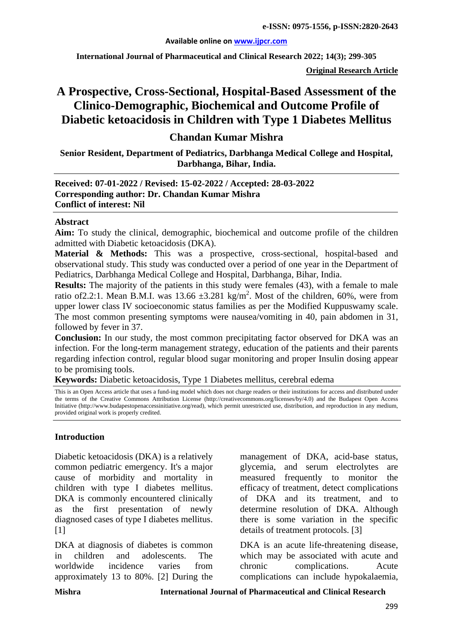#### **Available online on [www.ijpcr.com](http://www.ijpcr.com/)**

**International Journal of Pharmaceutical and Clinical Research 2022; 14(3); 299-305**

**Original Research Article**

# **A Prospective, Cross-Sectional, Hospital-Based Assessment of the Clinico-Demographic, Biochemical and Outcome Profile of Diabetic ketoacidosis in Children with Type 1 Diabetes Mellitus**

# **Chandan Kumar Mishra**

**Senior Resident, Department of Pediatrics, Darbhanga Medical College and Hospital, Darbhanga, Bihar, India.**

### **Received: 07-01-2022 / Revised: 15-02-2022 / Accepted: 28-03-2022 Corresponding author: Dr. Chandan Kumar Mishra Conflict of interest: Nil**

#### **Abstract**

**Aim:** To study the clinical, demographic, biochemical and outcome profile of the children admitted with Diabetic ketoacidosis (DKA).

**Material & Methods:** This was a prospective, cross-sectional, hospital-based and observational study. This study was conducted over a period of one year in the Department of Pediatrics, Darbhanga Medical College and Hospital, Darbhanga, Bihar, India.

**Results:** The majority of the patients in this study were females (43), with a female to male ratio of 2.2:1. Mean B.M.I. was  $13.66 \pm 3.281$  kg/m<sup>2</sup>. Most of the children, 60%, were from upper lower class IV socioeconomic status families as per the Modified Kuppuswamy scale. The most common presenting symptoms were nausea/vomiting in 40, pain abdomen in 31, followed by fever in 37.

**Conclusion:** In our study, the most common precipitating factor observed for DKA was an infection. For the long-term management strategy, education of the patients and their parents regarding infection control, regular blood sugar monitoring and proper Insulin dosing appear to be promising tools.

**Keywords:** Diabetic ketoacidosis, Type 1 Diabetes mellitus, cerebral edema

This is an Open Access article that uses a fund-ing model which does not charge readers or their institutions for access and distributed under the terms of the Creative Commons Attribution License (http://creativecommons.org/licenses/by/4.0) and the Budapest Open Access Initiative (http://www.budapestopenaccessinitiative.org/read), which permit unrestricted use, distribution, and reproduction in any medium, provided original work is properly credited.

#### **Introduction**

Diabetic ketoacidosis (DKA) is a relatively common pediatric emergency. It's a major cause of morbidity and mortality in children with type I diabetes mellitus. DKA is commonly encountered clinically as the first presentation of newly diagnosed cases of type I diabetes mellitus.  $[1]$ 

DKA at diagnosis of diabetes is common in children and adolescents. The worldwide incidence varies from approximately 13 to 80%. [2] During the management of DKA, acid-base status, glycemia, and serum electrolytes are measured frequently to monitor the efficacy of treatment, detect complications of DKA and its treatment, and to determine resolution of DKA. Although there is some variation in the specific details of treatment protocols. [3]

DKA is an acute life-threatening disease, which may be associated with acute and chronic complications. Acute complications can include hypokalaemia,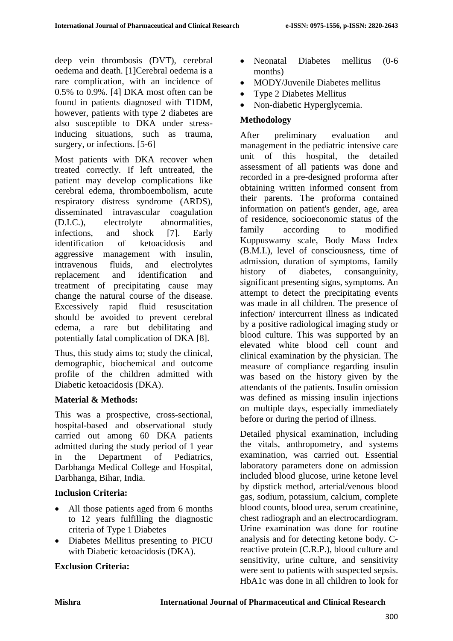deep vein thrombosis (DVT), cerebral oedema and death. [1]Cerebral oedema is a rare complication, with an incidence of 0.5% to 0.9%. [4] DKA most often can be found in patients diagnosed with T1DM, however, patients with type 2 diabetes are also susceptible to DKA under stressinducing situations, such as trauma, surgery, or infections. [5-6]

Most patients with DKA recover when treated correctly. If left untreated, the patient may develop complications like cerebral edema, thromboembolism, acute respiratory distress syndrome (ARDS), disseminated intravascular coagulation (D.I.C.), electrolyte abnormalities, infections, and shock [7]. Early identification of ketoacidosis and aggressive management with insulin, intravenous fluids, and electrolytes replacement and identification and treatment of precipitating cause may change the natural course of the disease. Excessively rapid fluid resuscitation should be avoided to prevent cerebral edema, a rare but debilitating and potentially fatal complication of DKA [8].

Thus, this study aims to; study the clinical, demographic, biochemical and outcome profile of the children admitted with Diabetic ketoacidosis (DKA).

# **Material & Methods:**

This was a prospective, cross-sectional, hospital-based and observational study carried out among 60 DKA patients admitted during the study period of 1 year in the Department of Pediatrics, Darbhanga Medical College and Hospital, Darbhanga, Bihar, India.

# **Inclusion Criteria:**

- All those patients aged from 6 months to 12 years fulfilling the diagnostic criteria of Type 1 Diabetes
- Diabetes Mellitus presenting to PICU with Diabetic ketoacidosis (DKA).

# **Exclusion Criteria:**

- Neonatal Diabetes mellitus (0-6 months)
- MODY/Juvenile Diabetes mellitus
- Type 2 Diabetes Mellitus
- Non-diabetic Hyperglycemia.

# **Methodology**

After preliminary evaluation and management in the pediatric intensive care unit of this hospital, the detailed assessment of all patients was done and recorded in a pre-designed proforma after obtaining written informed consent from their parents. The proforma contained information on patient's gender, age, area of residence, socioeconomic status of the family according to modified Kuppuswamy scale, Body Mass Index (B.M.I.), level of consciousness, time of admission, duration of symptoms, family history of diabetes, consanguinity, significant presenting signs, symptoms. An attempt to detect the precipitating events was made in all children. The presence of infection/ intercurrent illness as indicated by a positive radiological imaging study or blood culture. This was supported by an elevated white blood cell count and clinical examination by the physician. The measure of compliance regarding insulin was based on the history given by the attendants of the patients. Insulin omission was defined as missing insulin injections on multiple days, especially immediately before or during the period of illness.

Detailed physical examination, including the vitals, anthropometry, and systems examination, was carried out. Essential laboratory parameters done on admission included blood glucose, urine ketone level by dipstick method, arterial/venous blood gas, sodium, potassium, calcium, complete blood counts, blood urea, serum creatinine, chest radiograph and an electrocardiogram. Urine examination was done for routine analysis and for detecting ketone body. Creactive protein (C.R.P.), blood culture and sensitivity, urine culture, and sensitivity were sent to patients with suspected sepsis. HbA1c was done in all children to look for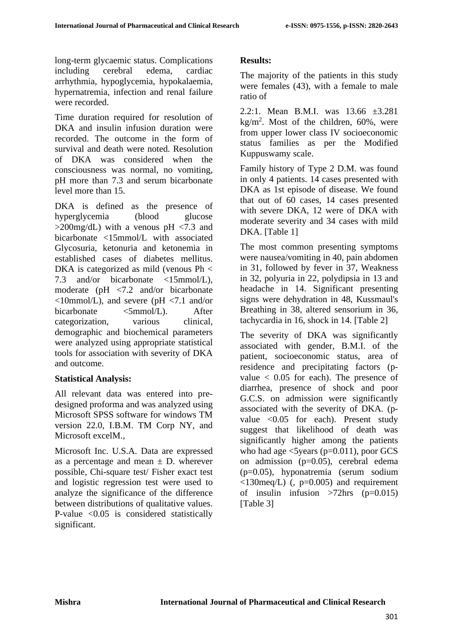long-term glycaemic status. Complications including cerebral edema, cardiac arrhythmia, hypoglycemia, hypokalaemia, hypernatremia, infection and renal failure were recorded.

Time duration required for resolution of DKA and insulin infusion duration were recorded. The outcome in the form of survival and death were noted. Resolution of DKA was considered when the consciousness was normal, no vomiting, pH more than 7.3 and serum bicarbonate level more than 15.

DKA is defined as the presence of hyperglycemia (blood glucose  $>200$ mg/dL) with a venous pH  $< 7.3$  and bicarbonate <15mmol/L with associated Glycosuria, ketonuria and ketonemia in established cases of diabetes mellitus. DKA is categorized as mild (venous Ph < 7.3 and/or bicarbonate <15mmol/L), moderate (pH <7.2 and/or bicarbonate  $\langle$ 10mmol/L), and severe (pH  $\langle$ 7.1 and/or bicarbonate <5mmol/L). After categorization, various clinical, demographic and biochemical parameters were analyzed using appropriate statistical tools for association with severity of DKA and outcome.

# **Statistical Analysis:**

All relevant data was entered into predesigned proforma and was analyzed using Microsoft SPSS software for windows TM version 22.0, I.B.M. TM Corp NY, and Microsoft excelM.,

Microsoft Inc. U.S.A. Data are expressed as a percentage and mean  $\pm$  D. wherever possible, Chi-square test/ Fisher exact test and logistic regression test were used to analyze the significance of the difference between distributions of qualitative values. P-value  $\langle 0.05 \rangle$  is considered statistically significant.

# **Results:**

The majority of the patients in this study were females (43), with a female to male ratio of

2.2:1. Mean B.M.I. was 13.66 ±3.281  $kg/m<sup>2</sup>$ . Most of the children, 60%, were from upper lower class IV socioeconomic status families as per the Modified Kuppuswamy scale.

Family history of Type 2 D.M. was found in only 4 patients. 14 cases presented with DKA as 1st episode of disease. We found that out of 60 cases, 14 cases presented with severe DKA, 12 were of DKA with moderate severity and 34 cases with mild DKA. [Table 1]

The most common presenting symptoms were nausea/vomiting in 40, pain abdomen in 31, followed by fever in 37, Weakness in 32, polyuria in 22, polydipsia in 13 and headache in 14. Significant presenting signs were dehydration in 48, Kussmaul's Breathing in 38, altered sensorium in 36, tachycardia in 16, shock in 14. [Table 2]

The severity of DKA was significantly associated with gender, B.M.I. of the patient, socioeconomic status, area of residence and precipitating factors (pvalue  $\langle 0.05 \rangle$  for each). The presence of diarrhea, presence of shock and poor G.C.S. on admission were significantly associated with the severity of DKA. (pvalue <0.05 for each). Present study suggest that likelihood of death was significantly higher among the patients who had age  $\leq$ 5 years (p=0.011), poor GCS on admission (p=0.05), cerebral edema (p=0.05), hyponatremia (serum sodium  $\langle 130 \text{meq/L} \rangle$  (, p=0.005) and requirement of insulin infusion  $>72$ hrs (p=0.015) [Table 3]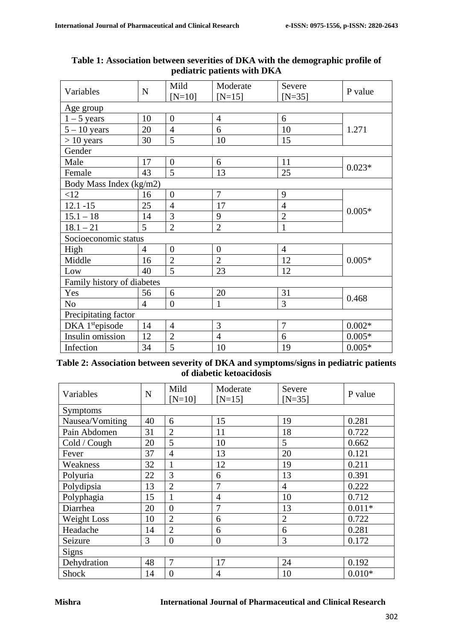| Variables                   | $\mathbf N$    | Mild             | Moderate         | Severe         | P value  |  |
|-----------------------------|----------------|------------------|------------------|----------------|----------|--|
|                             |                | $[N=10]$         | $[N=15]$         | $[N=35]$       |          |  |
| Age group                   |                |                  |                  |                |          |  |
| $1 - 5$ years               | 10             | $\overline{0}$   | $\overline{4}$   | 6              |          |  |
| $5 - 10$ years              | 20             | $\overline{4}$   | 6                | 10             | 1.271    |  |
| $> 10$ years                | 30             | 5                | 10               | 15             |          |  |
| Gender                      |                |                  |                  |                |          |  |
| Male                        | 17             | $\overline{0}$   | 6                | 11             | $0.023*$ |  |
| Female                      | 43             | 5                | 13               | 25             |          |  |
| Body Mass Index (kg/m2)     |                |                  |                  |                |          |  |
| <12                         | 16             | $\boldsymbol{0}$ | $\overline{7}$   | 9              |          |  |
| $12.1 - 15$                 | 25             | $\overline{4}$   | 17               | $\overline{4}$ | $0.005*$ |  |
| $15.1 - 18$                 | 14             | 3                | 9                | $\overline{2}$ |          |  |
| $18.1 - 21$                 | 5              | $\overline{2}$   | $\overline{2}$   | $\mathbf{1}$   |          |  |
| Socioeconomic status        |                |                  |                  |                |          |  |
| High                        | $\overline{4}$ | $\overline{0}$   | $\boldsymbol{0}$ | $\overline{4}$ |          |  |
| Middle                      | 16             | $\overline{2}$   | $\overline{2}$   | 12             | $0.005*$ |  |
| Low                         | 40             | 5                | 23               | 12             |          |  |
| Family history of diabetes  |                |                  |                  |                |          |  |
| Yes                         | 56             | 6                | 20               | 31             | 0.468    |  |
| N <sub>o</sub>              | $\overline{4}$ | $\overline{0}$   | $\mathbf{1}$     | 3              |          |  |
| Precipitating factor        |                |                  |                  |                |          |  |
| DKA 1 <sup>st</sup> episode | 14             | $\overline{4}$   | 3                | $\overline{7}$ | $0.002*$ |  |
| Insulin omission            | 12             | $\overline{2}$   | $\overline{4}$   | 6              | $0.005*$ |  |
| Infection                   | 34             | 5                | 10               | 19             | $0.005*$ |  |

### **Table 1: Association between severities of DKA with the demographic profile of pediatric patients with DKA**

### **Table 2: Association between severity of DKA and symptoms/signs in pediatric patients of diabetic ketoacidosis**

| Variables       | $\mathbf N$ | Mild<br>$[N=10]$ | Moderate<br>$[N=15]$ | Severe<br>$[N=35]$ | P value  |
|-----------------|-------------|------------------|----------------------|--------------------|----------|
| <b>Symptoms</b> |             |                  |                      |                    |          |
| Nausea/Vomiting | 40          | 6                | 15                   | 19                 | 0.281    |
| Pain Abdomen    | 31          | $\overline{2}$   | 11                   | 18                 | 0.722    |
| Cold / Cough    | 20          | 5                | 10                   | 5                  | 0.662    |
| Fever           | 37          | $\overline{4}$   | 13                   | 20                 | 0.121    |
| Weakness        | 32          | 1                | 12                   | 19                 | 0.211    |
| Polyuria        | 22          | 3                | 6                    | 13                 | 0.391    |
| Polydipsia      | 13          | $\overline{2}$   | 7                    | $\overline{4}$     | 0.222    |
| Polyphagia      | 15          | 1                | $\overline{4}$       | 10                 | 0.712    |
| Diarrhea        | 20          | $\overline{0}$   | $\overline{7}$       | 13                 | $0.011*$ |
| Weight Loss     | 10          | $\overline{2}$   | 6                    | $\overline{2}$     | 0.722    |
| Headache        | 14          | $\overline{2}$   | 6                    | 6                  | 0.281    |
| Seizure         | 3           | $\overline{0}$   | $\theta$             | 3                  | 0.172    |
| <b>Signs</b>    |             |                  |                      |                    |          |
| Dehydration     | 48          | $\overline{7}$   | 17                   | 24                 | 0.192    |
| <b>Shock</b>    | 14          | $\theta$         | $\overline{4}$       | 10                 | $0.010*$ |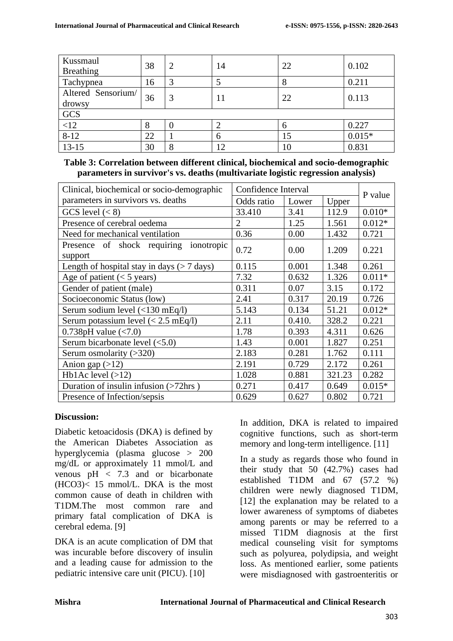| Kussmaul           | 38 |   | 14 | 22 | 0.102    |  |
|--------------------|----|---|----|----|----------|--|
| <b>Breathing</b>   |    |   |    |    |          |  |
| Tachypnea          | 16 |   |    | 8  | 0.211    |  |
| Altered Sensorium/ | 36 |   | 11 | 22 | 0.113    |  |
| drowsy             |    |   |    |    |          |  |
| GCS                |    |   |    |    |          |  |
| < 12               |    |   |    | 6  | 0.227    |  |
| $8 - 12$           | 22 |   | 6  | 15 | $0.015*$ |  |
| $13 - 15$          | 30 | O | 12 | 10 | 0.831    |  |

# **Table 3: Correlation between different clinical, biochemical and socio-demographic parameters in survivor's vs. deaths (multivariate logistic regression analysis)**

| Clinical, biochemical or socio-demographic                                        | Confidence Interval |        |        |          |  |
|-----------------------------------------------------------------------------------|---------------------|--------|--------|----------|--|
| parameters in survivors vs. deaths                                                | Odds ratio          | Lower  | Upper  | P value  |  |
| GCS level $(< 8)$                                                                 | 33.410              | 3.41   | 112.9  | $0.010*$ |  |
| Presence of cerebral oedema                                                       | $\overline{2}$      | 1.25   | 1.561  | $0.012*$ |  |
| Need for mechanical ventilation                                                   | 0.36                | 0.00   | 1.432  | 0.721    |  |
| Presence of shock requiring ionotropic<br>support                                 | 0.72                | 0.00   | 1.209  | 0.221    |  |
| Length of hospital stay in days $($ > 7 days)                                     | 0.115               | 0.001  | 1.348  | 0.261    |  |
| Age of patient $(< 5$ years)                                                      | 7.32                | 0.632  | 1.326  | $0.011*$ |  |
| Gender of patient (male)                                                          | 0.311               | 0.07   | 3.15   | 0.172    |  |
| Socioeconomic Status (low)                                                        | 2.41                | 0.317  | 20.19  | 0.726    |  |
| Serum sodium level $\left\langle \langle 130 \text{ mEq/l} \rangle \right\rangle$ | 5.143               | 0.134  | 51.21  | $0.012*$ |  |
| Serum potassium level $(< 2.5$ mEq/l)                                             | 2.11                | 0.410. | 328.2  | 0.221    |  |
| 0.738pH value $(< 7.0)$                                                           | 1.78                | 0.393  | 4.311  | 0.626    |  |
| Serum bicarbonate level $(<5.0)$                                                  | 1.43                | 0.001  | 1.827  | 0.251    |  |
| Serum osmolarity $(>320)$                                                         | 2.183               | 0.281  | 1.762  | 0.111    |  |
| Anion gap $(>12)$                                                                 | 2.191               | 0.729  | 2.172  | 0.261    |  |
| Hb1Ac level $(>12)$                                                               | 1.028               | 0.881  | 321.23 | 0.282    |  |
| Duration of insulin infusion (>72hrs)                                             | 0.271               | 0.417  | 0.649  | $0.015*$ |  |
| Presence of Infection/sepsis                                                      | 0.629               | 0.627  | 0.802  | 0.721    |  |

# **Discussion:**

Diabetic ketoacidosis (DKA) is defined by the American Diabetes Association as hyperglycemia (plasma glucose > 200 mg/dL or approximately 11 mmol/L and venous  $pH < 7.3$  and or bicarbonate (HCO3)< 15 mmol/L. DKA is the most common cause of death in children with T1DM.The most common rare and primary fatal complication of DKA is cerebral edema. [9]

DKA is an acute complication of DM that was incurable before discovery of insulin and a leading cause for admission to the pediatric intensive care unit (PICU). [10]

In addition, DKA is related to impaired cognitive functions, such as short-term memory and long-term intelligence. [11]

In a study as regards those who found in their study that 50 (42.7%) cases had established T1DM and 67 (57.2 %) children were newly diagnosed T1DM, [12] the explanation may be related to a lower awareness of symptoms of diabetes among parents or may be referred to a missed T1DM diagnosis at the first medical counseling visit for symptoms such as polyurea, polydipsia, and weight loss. As mentioned earlier, some patients were misdiagnosed with gastroenteritis or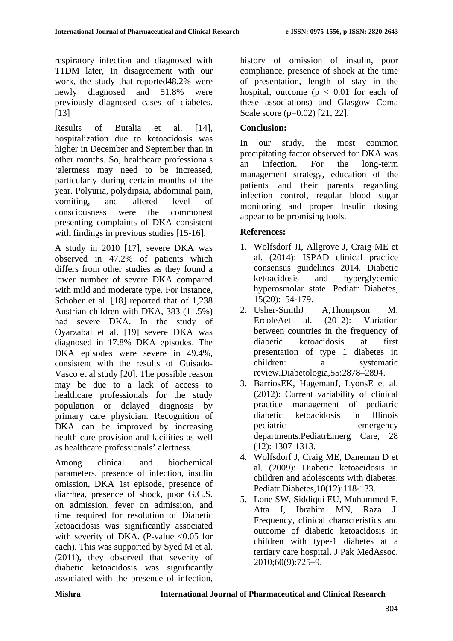respiratory infection and diagnosed with T1DM later, In disagreement with our work, the study that reported48.2% were newly diagnosed and 51.8% were previously diagnosed cases of diabetes. [13]

Results of Butalia et al. [14], hospitalization due to ketoacidosis was higher in December and September than in other months. So, healthcare professionals 'alertness may need to be increased, particularly during certain months of the year. Polyuria, polydipsia, abdominal pain, vomiting, and altered level of consciousness were the commonest presenting complaints of DKA consistent with findings in previous studies [15-16].

A study in 2010 [17], severe DKA was observed in 47.2% of patients which differs from other studies as they found a lower number of severe DKA compared with mild and moderate type. For instance, Schober et al. [18] reported that of 1,238 Austrian children with DKA, 383 (11.5%) had severe DKA. In the study of Oyarzabal et al. [19] severe DKA was diagnosed in 17.8% DKA episodes. The DKA episodes were severe in 49.4%, consistent with the results of Guisado-Vasco et al study [20]. The possible reason may be due to a lack of access to healthcare professionals for the study population or delayed diagnosis by primary care physician. Recognition of DKA can be improved by increasing health care provision and facilities as well as healthcare professionals' alertness.

Among clinical and biochemical parameters, presence of infection, insulin omission, DKA 1st episode, presence of diarrhea, presence of shock, poor G.C.S. on admission, fever on admission, and time required for resolution of Diabetic ketoacidosis was significantly associated with severity of DKA. (P-value  $< 0.05$  for each). This was supported by Syed M et al. (2011), they observed that severity of diabetic ketoacidosis was significantly associated with the presence of infection, history of omission of insulin, poor compliance, presence of shock at the time of presentation, length of stay in the hospital, outcome ( $p < 0.01$  for each of these associations) and Glasgow Coma Scale score (p=0.02) [21, 22].

# **Conclusion:**

In our study, the most common precipitating factor observed for DKA was an infection. For the long-term management strategy, education of the patients and their parents regarding infection control, regular blood sugar monitoring and proper Insulin dosing appear to be promising tools.

# **References:**

- 1. Wolfsdorf JI, Allgrove J, Craig ME et al. (2014): ISPAD clinical practice consensus guidelines 2014. Diabetic ketoacidosis and hyperglycemic hyperosmolar state. Pediatr Diabetes, 15(20):154‐179.
- 2. Usher-SmithJ A,Thompson M, ErcoleAet al. (2012): Variation between countries in the frequency of diabetic ketoacidosis at first presentation of type 1 diabetes in children: a systematic review.Diabetologia,55:2878–2894.
- 3. BarriosEK, HagemanJ, LyonsE et al. (2012): Current variability of clinical practice management of pediatric diabetic ketoacidosis in Illinois pediatric emergency departments.PediatrEmerg Care, 28 (12): 1307-1313.
- 4. Wolfsdorf J, Craig ME, Daneman D et al. (2009): Diabetic ketoacidosis in children and adolescents with diabetes. Pediatr Diabetes,10(12):118‐133.
- 5. Lone SW, Siddiqui EU, Muhammed F, Atta I, Ibrahim MN, Raza J. Frequency, clinical characteristics and outcome of diabetic ketoacidosis in children with type-1 diabetes at a tertiary care hospital. J Pak MedAssoc. 2010;60(9):725–9.